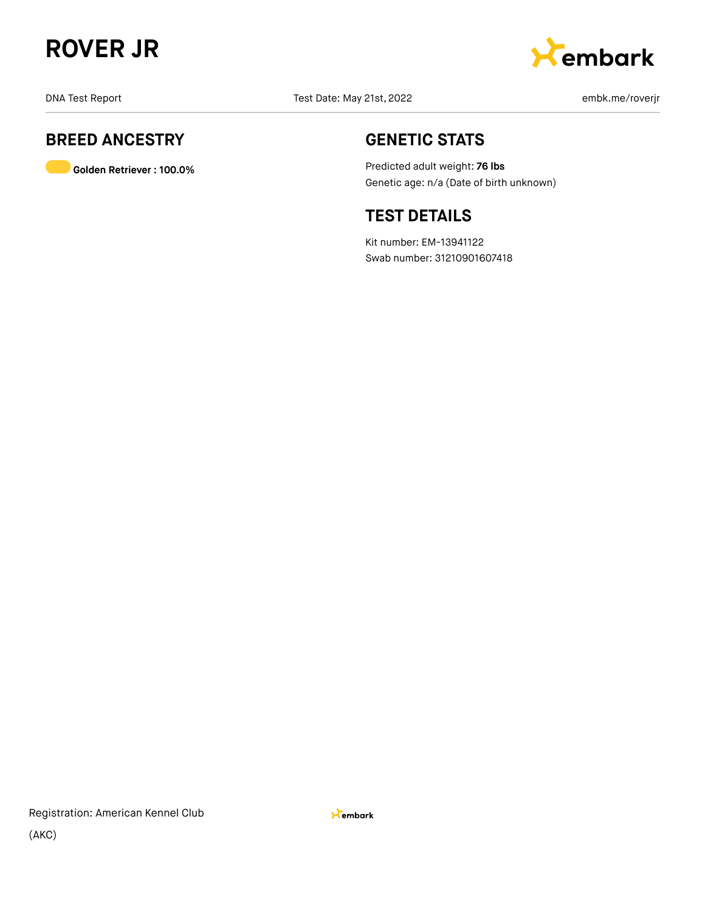



# **BREED ANCESTRY**

**Golden Retriever : 100.0%**

# **GENETIC STATS**

Predicted adult weight: **76 lbs** Genetic age: n/a (Date of birth unknown)

# **TEST DETAILS**

Kit number: EM-13941122 Swab number: 31210901607418

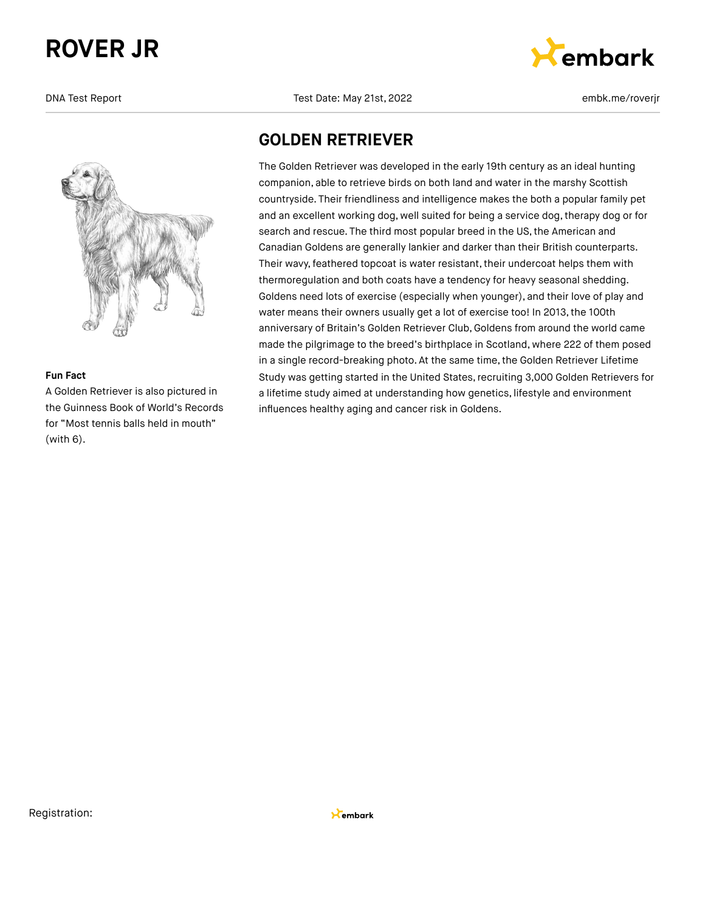

#### **Fun Fact**

A Golden Retriever is also pictured in the Guinness Book of World's Records for "Most tennis balls held in mouth" (with 6).

#### DNA Test Report Test Date: May 21st, 2022 embk.me/roverjr



### **GOLDEN RETRIEVER**

The Golden Retriever was developed in the early 19th century as an ideal hunting companion, able to retrieve birds on both land and water in the marshy Scottish countryside. Their friendliness and intelligence makes the both a popular family pet and an excellent working dog, well suited for being a service dog, therapy dog or for search and rescue. The third most popular breed in the US, the American and Canadian Goldens are generally lankier and darker than their British counterparts. Their wavy, feathered topcoat is water resistant, their undercoat helps them with thermoregulation and both coats have a tendency for heavy seasonal shedding. Goldens need lots of exercise (especially when younger), and their love of play and water means their owners usually get a lot of exercise too! In 2013, the 100th anniversary of Britain's Golden Retriever Club, Goldens from around the world came made the pilgrimage to the breed's birthplace in Scotland, where 222 of them posed in a single record-breaking photo. At the same time, the Golden Retriever Lifetime Study was getting started in the United States, recruiting 3,000 Golden Retrievers for a lifetime study aimed at understanding how genetics, lifestyle and environment influences healthy aging and cancer risk in Goldens.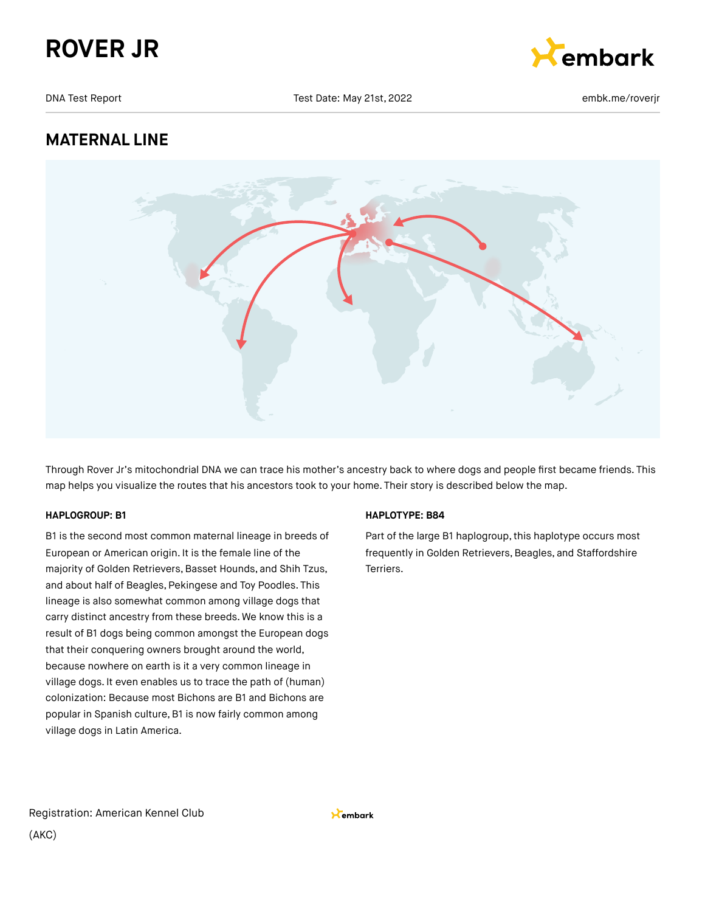



# **MATERNAL LINE**



Through Rover Jr's mitochondrial DNA we can trace his mother's ancestry back to where dogs and people first became friends. This map helps you visualize the routes that his ancestors took to your home. Their story is described below the map.

#### **HAPLOGROUP: B1**

B1 is the second most common maternal lineage in breeds of European or American origin. It is the female line of the majority of Golden Retrievers, Basset Hounds, and Shih Tzus, and about half of Beagles, Pekingese and Toy Poodles. This lineage is also somewhat common among village dogs that carry distinct ancestry from these breeds. We know this is a result of B1 dogs being common amongst the European dogs that their conquering owners brought around the world, because nowhere on earth is it a very common lineage in village dogs. It even enables us to trace the path of (human) colonization: Because most Bichons are B1 and Bichons are popular in Spanish culture, B1 is now fairly common among village dogs in Latin America.

#### **HAPLOTYPE: B84**

Part of the large B1 haplogroup, this haplotype occurs most frequently in Golden Retrievers, Beagles, and Staffordshire Terriers.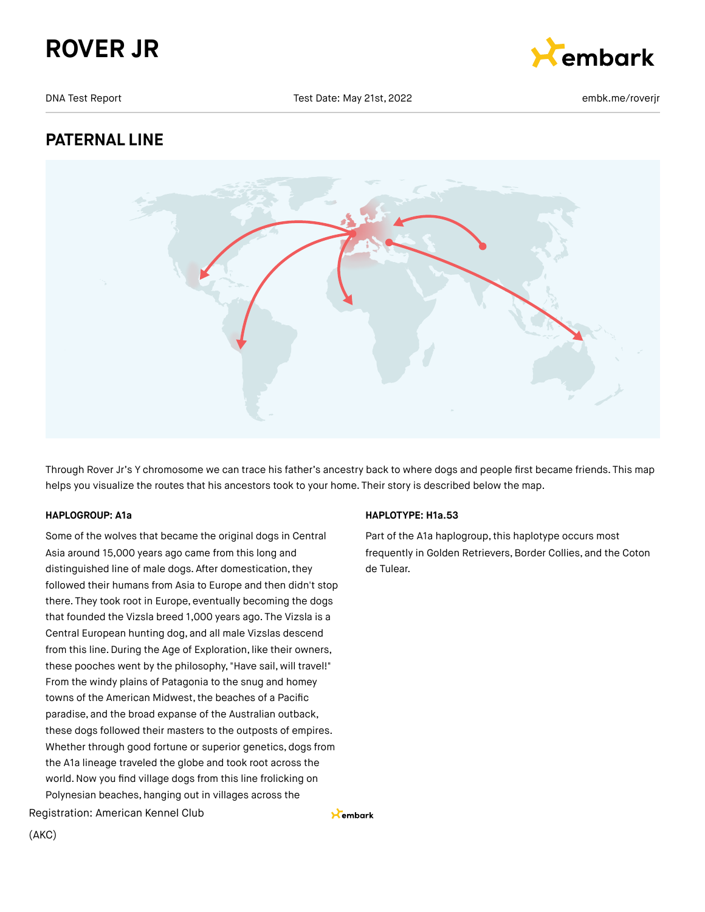



# **PATERNAL LINE**



Through Rover Jr's Y chromosome we can trace his father's ancestry back to where dogs and people first became friends. This map helps you visualize the routes that his ancestors took to your home. Their story is described below the map.

Kembark

#### **HAPLOGROUP: A1a**

Some of the wolves that became the original dogs in Central Asia around 15,000 years ago came from this long and distinguished line of male dogs. After domestication, they followed their humans from Asia to Europe and then didn't stop there. They took root in Europe, eventually becoming the dogs that founded the Vizsla breed 1,000 years ago. The Vizsla is a Central European hunting dog, and all male Vizslas descend from this line. During the Age of Exploration, like their owners, these pooches went by the philosophy, "Have sail, will travel!" From the windy plains of Patagonia to the snug and homey towns of the American Midwest, the beaches of a Pacific paradise, and the broad expanse of the Australian outback, these dogs followed their masters to the outposts of empires. Whether through good fortune or superior genetics, dogs from the A1a lineage traveled the globe and took root across the world.Now you find village dogs from this line frolicking on Polynesian beaches, hanging out in villages across the

Registration: American Kennel Club

#### **HAPLOTYPE: H1a.53**

Part of the A1a haplogroup, this haplotype occurs most frequently in Golden Retrievers, Border Collies, and the Coton de Tulear.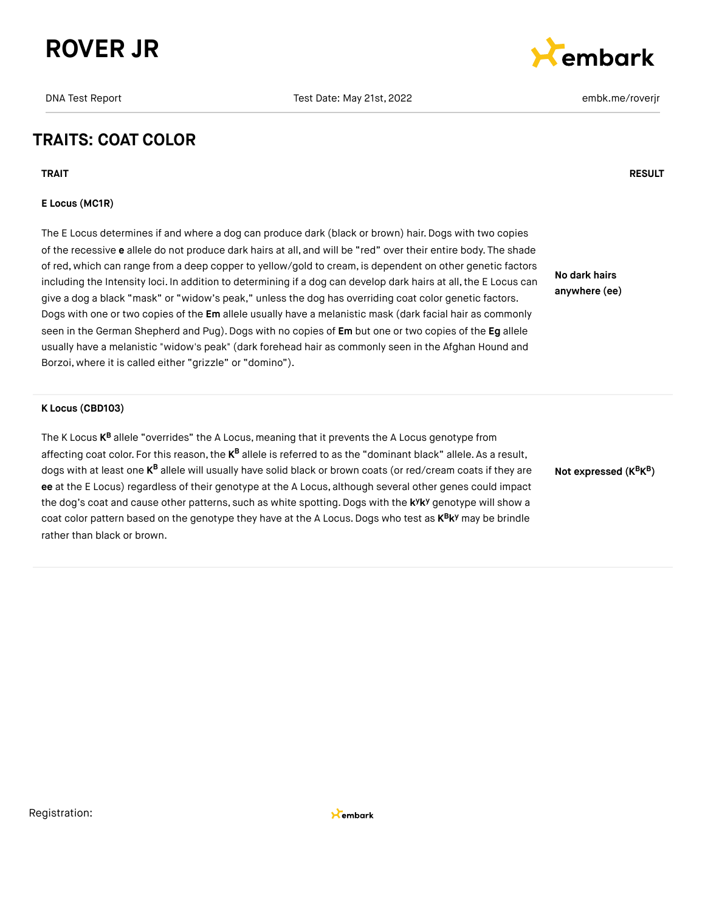



# **TRAITS: COAT COLOR**

**TRAIT RESULT**

#### **E Locus (MC1R)**

The E Locus determines if and where a dog can produce dark (black or brown) hair. Dogs with two copies of the recessive **e** allele do not produce dark hairs at all, and will be "red" over their entire body. The shade of red, which can range from a deep copper to yellow/gold to cream, is dependent on other genetic factors including the Intensity loci. In addition to determining if a dog can develop dark hairs at all, the E Locus can give a dog a black "mask" or "widow's peak," unless the dog has overriding coat color genetic factors. Dogs with one or two copies of the **Em** allele usually have a melanistic mask (dark facial hair as commonly seen in the German Shepherd and Pug).Dogs with no copies of **Em** but one or two copies of the **Eg** allele usually have a melanistic "widow's peak" (dark forehead hair as commonly seen in the Afghan Hound and Borzoi, where it is called either "grizzle" or "domino").

**No dark hairs anywhere (ee)**

#### **K Locus (CBD103)**

The K Locus **K<sup>B</sup>** allele "overrides" the A Locus, meaning that it prevents the A Locus genotype from affecting coat color. For this reason, the **K<sup>B</sup> allele is referred to as the "dominant** black" allele. As a result, dogs with at least one **K<sup>B</sup> allele will usually have solid black** or brown coats (or red/cream coats if they are **ee** at the E Locus) regardless of their genotype at the A Locus, although several other genes could impact the dog's coat and cause other patterns, such as white spotting. Dogs with the k<sup>y</sup>k<sup>y</sup> genotype will show a coat color pattern based on the genotype they have at the A Locus. Dogs who test as  $K^B K^y$  may be brindle rather than black or brown.

**Not expressed (K K ) B B**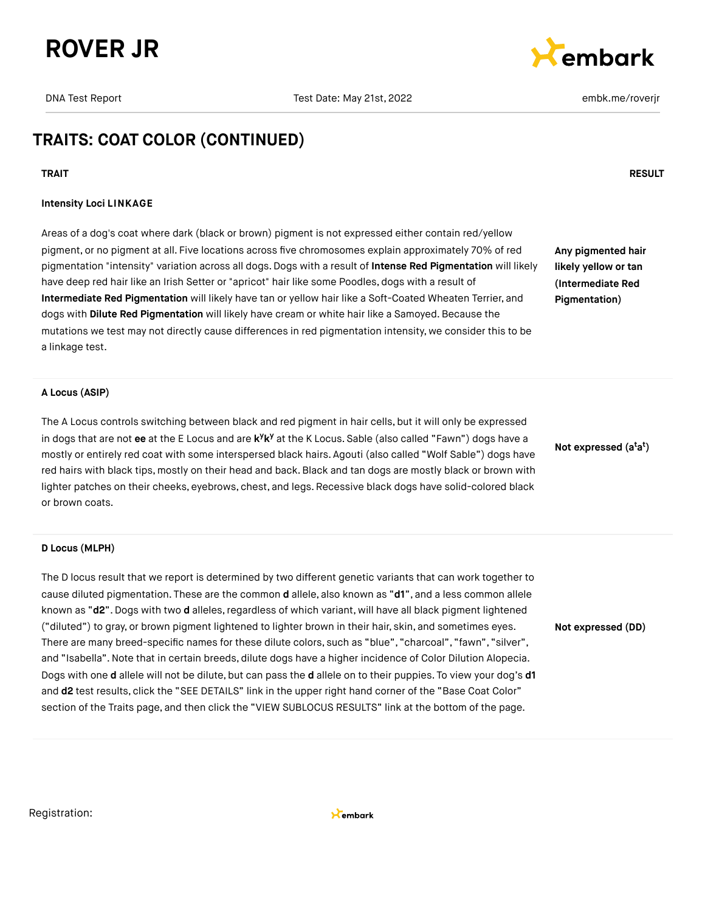



# **TRAITS: COAT COLOR (CONTINUED)**

#### **TRAIT RESULT**

#### **Intensity Loci LINKAGE**

Areas of a dog's coat where dark (black or brown) pigment is not expressed either contain red/yellow pigment, or no pigment at all. Five locations across five chromosomes explain approximately 70% of red pigmentation "intensity" variation across all dogs. Dogs with a result of **Intense Red Pigmentation** will likely have deep red hair like an Irish Setter or "apricot" hair like some Poodles, dogs with a result of **Intermediate Red Pigmentation** will likely have tan or yellow hair like a Soft-Coated Wheaten Terrier, and dogs with **Dilute Red Pigmentation** will likely have cream or white hair like a Samoyed. Because the mutations we test may not directly cause differences in red pigmentation intensity, we consider this to be a linkage test.

**Any pigmented hair likely yellow or tan (Intermediate Red Pigmentation)**

#### **A Locus (ASIP)**

The A Locus controls switching between black and red pigment in hair cells, but it will only be expressed in dogs that are not ee at the E Locus and are k<sup>y</sup>k<sup>y</sup> at the K Locus. Sable (also called "Fawn") dogs have a mostly or entirely red coat with some interspersed black hairs. Agouti (also called "Wolf Sable") dogs have red hairs with black tips, mostly on their head and back.Black and tan dogs are mostly black or brown with lighter patches on their cheeks, eyebrows, chest, and legs. Recessive black dogs have solid-colored black or brown coats.

#### **D Locus (MLPH)**

The D locus result that we report is determined by two different genetic variants that can work together to cause diluted pigmentation. These are the common **d** allele, also known as "**d1**", and a less common allele known as "d2". Dogs with two d alleles, regardless of which variant, will have all black pigment lightened ("diluted") to gray, or brown pigment lightened to lighter brown in their hair, skin, and sometimes eyes. There are many breed-specific names for these dilute colors, such as "blue", "charcoal", "fawn", "silver", and "Isabella".Note that in certain breeds, dilute dogs have a higher incidence of Color Dilution Alopecia. Dogs with one **d** allele will not be dilute, but can pass the **d** allele on to their puppies. To view your dog's **d1** and **d2** test results, click the "SEE DETAILS" link in the upper right hand corner of the "Base Coat Color" section of the Traits page, and then click the "VIEW SUBLOCUS RESULTS" link at the bottom of the page.

**Not expressed (a a ) t t**

**Not expressed (DD)**

Registration: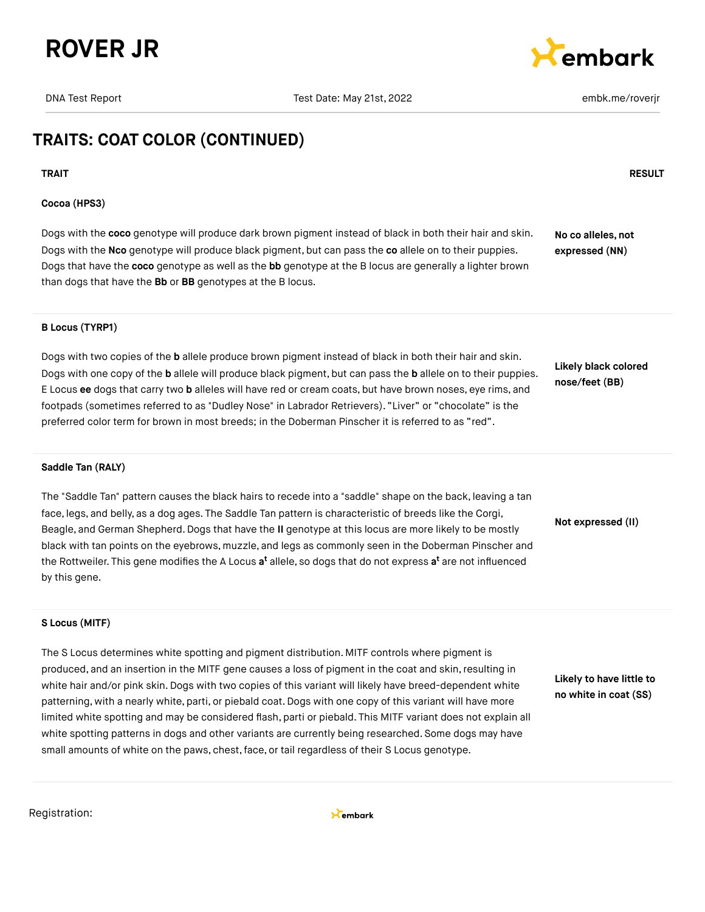



# **TRAITS: COAT COLOR (CONTINUED)**

#### **TRAIT RESULT**

#### **Cocoa (HPS3)**

Dogs with the **coco** genotype will produce dark brown pigment instead of black in both their hair and skin. Dogs with the **Nco** genotype will produce black pigment, but can pass the **co** allele on to their puppies. Dogs that have the **coco** genotype as well as the **bb** genotype at the B locus are generally a lighter brown than dogs that have the **Bb** or **BB** genotypes at the B locus. **No co alleles, not expressed (NN)**

#### **B Locus (TYRP1)**

Dogs with two copies of the **b** allele produce brown pigment instead of black in both their hair and skin. Dogs with one copy of the **b** allele will produce black pigment, but can pass the **b** allele on to their puppies. E Locus **ee** dogs that carry two **b** alleles will have red or cream coats, but have brown noses, eye rims, and footpads (sometimes referred to as "Dudley Nose" in Labrador Retrievers). "Liver" or "chocolate" is the preferred color term for brown in most breeds; in the Doberman Pinscher it is referred to as "red".

**Likely black colored nose/feet (BB)**

**Not expressed (II)**

#### **Saddle Tan (RALY)**

The "Saddle Tan" pattern causes the black hairs to recede into a "saddle" shape on the back, leaving a tan face, legs, and belly, as a dog ages. The Saddle Tan pattern is characteristic of breeds like the Corgi, Beagle, and German Shepherd.Dogs that have the **II** genotype at this locus are more likely to be mostly black with tan points on the eyebrows, muzzle, and legs as commonly seen in the Doberman Pinscher and the Rottweiler. This gene modifies the A Locus **a<sup>t</sup>** allele, so dogs that do not express **a<sup>t</sup>** are not influenced by this gene.

#### **S Locus (MITF)**

The S Locus determines white spotting and pigment distribution. MITF controls where pigment is produced, and an insertion in the MITF gene causes a loss of pigment in the coat and skin, resulting in white hair and/or pink skin. Dogs with two copies of this variant will likely have breed-dependent white patterning, with a nearly white, parti, or piebald coat. Dogs with one copy of this variant will have more limited white spotting and may be considered flash, parti or piebald. This MITF variant does not explain all white spotting patterns in dogs and other variants are currently being researched. Some dogs may have small amounts of white on the paws, chest, face, or tail regardless of their S Locus genotype.

**Likely to have little to no white in coat (SS)**

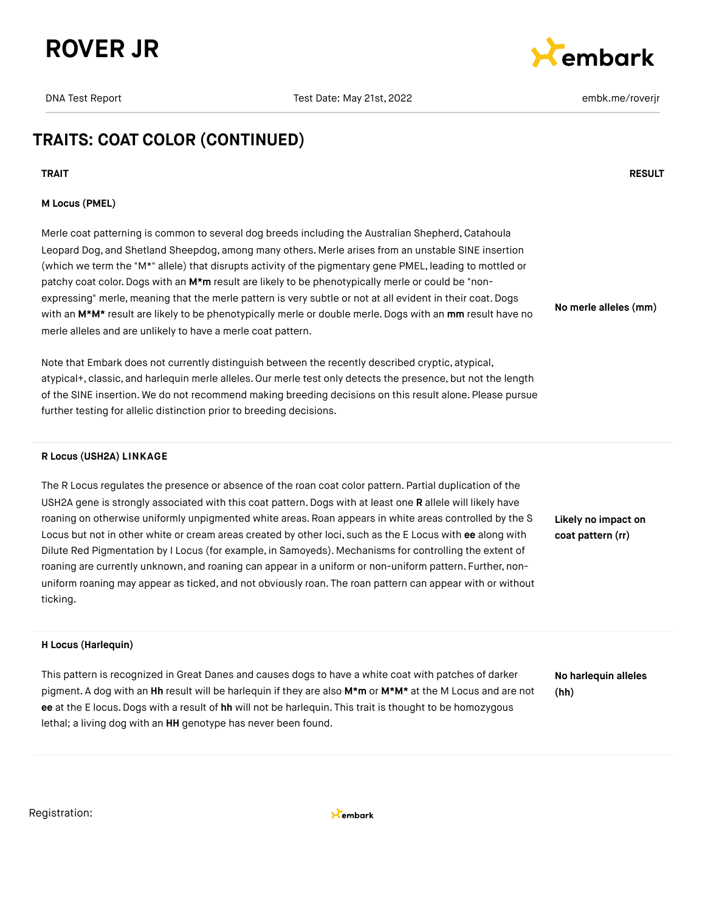



# **TRAITS: COAT COLOR (CONTINUED)**

#### **TRAIT RESULT**

#### **M Locus (PMEL)**

Merle coat patterning is common to several dog breeds including the Australian Shepherd, Catahoula Leopard Dog, and Shetland Sheepdog, among many others. Merle arises from an unstable SINE insertion (which we term the "M\*" allele) that disrupts activity of the pigmentary gene PMEL, leading to mottled or patchy coat color. Dogs with an M<sup>\*</sup>m result are likely to be phenotypically merle or could be "nonexpressing" merle, meaning that the merle pattern is very subtle or not at all evident in their coat. Dogs with an **M\*M\*** result are likely to be phenotypically merle or double merle. Dogs with an **mm** result have no merle alleles and are unlikely to have a merle coat pattern.

Note that Embark does not currently distinguish between the recently described cryptic, atypical, atypical+, classic, and harlequin merle alleles. Our merle test only detects the presence, but not the length of the SINE insertion. We do not recommend making breeding decisions on this result alone. Please pursue further testing for allelic distinction prior to breeding decisions.

#### **R Locus (USH2A) LINKAGE**

The R Locus regulates the presence or absence of the roan coat color pattern. Partial duplication of the USH2A gene is strongly associated with this coat pattern. Dogs with at least one **R** allele will likely have roaning on otherwise uniformly unpigmented white areas. Roan appears in white areas controlled by the S Locus but not in other white or cream areas created by other loci, such as the E Locus with **ee** along with Dilute Red Pigmentation by I Locus (for example, in Samoyeds). Mechanisms for controlling the extent of roaning are currently unknown, and roaning can appear in a uniform or non-uniform pattern. Further, nonuniform roaning may appear as ticked, and not obviously roan. The roan pattern can appear with or without ticking.

**Likely no impact on coat pattern (rr)**

**No merle alleles (mm)**

#### **H Locus (Harlequin)**

This pattern is recognized in Great Danes and causes dogs to have a white coat with patches of darker pigment. A dog with an **Hh** result will be harlequin if they are also **M\*m** or **M\*M\*** at the M Locus and are not **ee** at the E locus.Dogs with a result of **hh** will not be harlequin. This trait is thought to be homozygous lethal; a living dog with an **HH** genotype has never been found.

**No harlequin alleles (hh)**

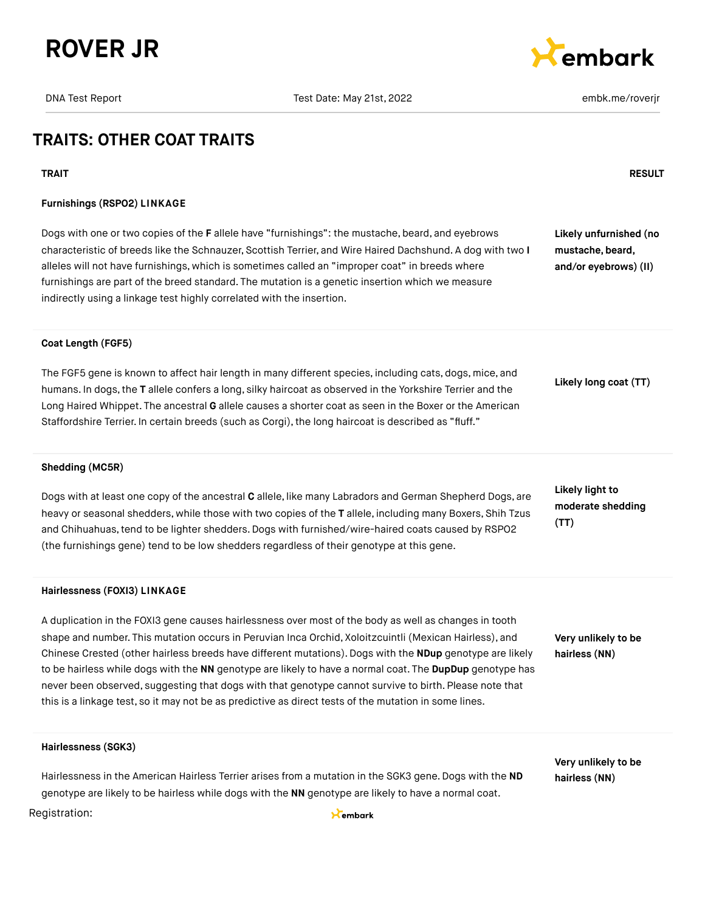



# **TRAITS: OTHER COAT TRAITS**

#### **TRAIT RESULT**

#### **Furnishings (RSPO2) LINKAGE**

Dogs with one or two copies of the **F** allele have "furnishings": the mustache, beard, and eyebrows characteristic of breeds like the Schnauzer, Scottish Terrier, and Wire Haired Dachshund. A dog with two **I** alleles will not have furnishings, which is sometimes called an "improper coat" in breeds where furnishings are part of the breed standard. The mutation is a genetic insertion which we measure indirectly using a linkage test highly correlated with the insertion.

**Likely unfurnished (no mustache, beard, and/or eyebrows) (II)**

#### **Coat Length (FGF5)**

The FGF5 gene is known to affect hair length in many different species, including cats, dogs, mice, and humans. In dogs,the **T** allele confers a long, silky haircoat as observed in the Yorkshire Terrier and the Long Haired Whippet. The ancestral **G** allele causes a shorter coat as seen in the Boxer or the American Staffordshire Terrier. In certain breeds (such as Corgi), the long haircoat is described as "fluff."

**Likely long coat (TT)**

#### **Shedding (MC5R)**

Dogs with at least one copy of the ancestral **C** allele, like many Labradors and German Shepherd Dogs, are heavy or seasonal shedders, while those with two copies of the **T** allele, including many Boxers, Shih Tzus and Chihuahuas,tend to be lighter shedders.Dogs with furnished/wire-haired coats caused by RSPO2 (the furnishings gene) tend to be low shedders regardless of their genotype at this gene.

#### **Likely light to moderate shedding (TT)**

#### **Hairlessness (FOXI3) LINKAGE**

A duplication in the FOXI3 gene causes hairlessness over most of the body as well as changes in tooth shape and number. This mutation occurs in Peruvian Inca Orchid, Xoloitzcuintli (Mexican Hairless), and Chinese Crested (other hairless breeds have different mutations). Dogs with the **NDup** genotype are likely to be hairless while dogs with the **NN** genotype are likely to have a normal coat. The **DupDup** genotype has never been observed, suggesting that dogs with that genotype cannot survive to birth. Please note that this is a linkage test, so it may not be as predictive as direct tests of the mutation in some lines.

**Very unlikely to be hairless (NN)**

**Very unlikely to be hairless (NN)**

#### **Hairlessness (SGK3)**

Hairlessness in the American Hairless Terrier arises from a mutation in the SGK3 gene. Dogs with the **ND** genotype are likely to be hairless while dogs with the **NN** genotype are likely to have a normal coat.

#### Registration: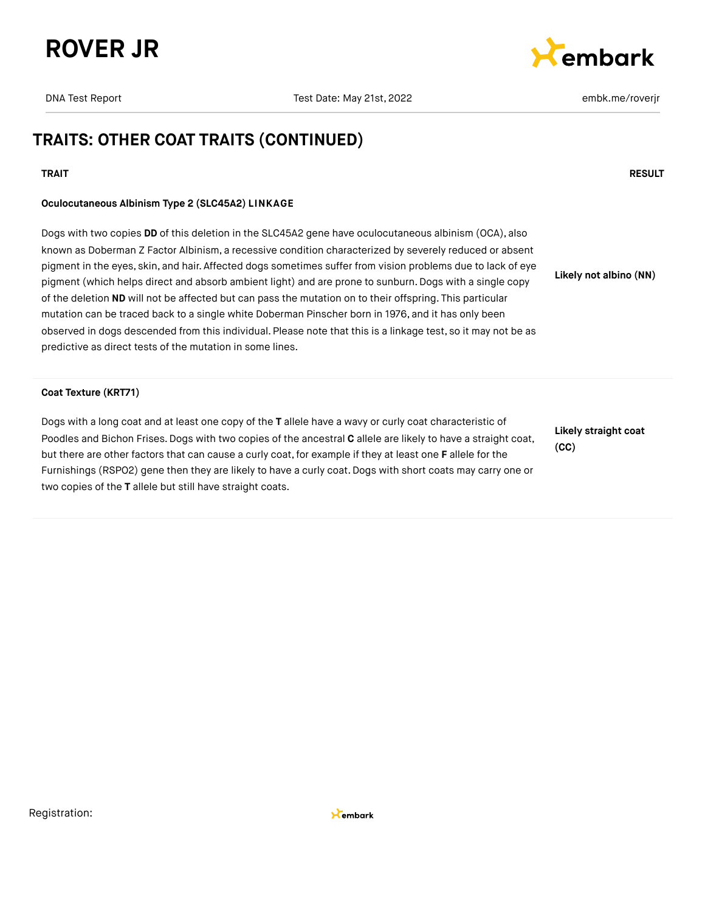



# **TRAITS: OTHER COAT TRAITS (CONTINUED)**

#### **TRAIT RESULT**

#### **Oculocutaneous Albinism Type 2 (SLC45A2) LINKAGE**

Dogs with two copies **DD** of this deletion in the SLC45A2 gene have oculocutaneous albinism (OCA), also known as Doberman Z Factor Albinism, a recessive condition characterized by severely reduced or absent pigment in the eyes, skin, and hair. Affected dogs sometimes suffer from vision problems due to lack of eye pigment (which helps direct and absorb ambient light) and are prone to sunburn. Dogs with a single copy of the deletion **ND** will not be affected but can pass the mutation on to their offspring. This particular mutation can be traced back to a single white Doberman Pinscher born in 1976, and it has only been observed in dogs descended from this individual. Please note that this is a linkage test, so it may not be as predictive as direct tests of the mutation in some lines. **Likely not albino (NN)**

#### **Coat Texture (KRT71)**

Dogs with a long coat and at least one copy of the **T** allele have a wavy or curly coat characteristic of Poodles and Bichon Frises.Dogs with two copies of the ancestral **C** allele are likely to have a straight coat, but there are other factors that can cause a curly coat,for example if they at least one **F** allele for the Furnishings (RSPO2) gene then they are likely to have a curly coat. Dogs with short coats may carry one or two copies of the **T** allele but still have straight coats.

**Likely straight coat (CC)**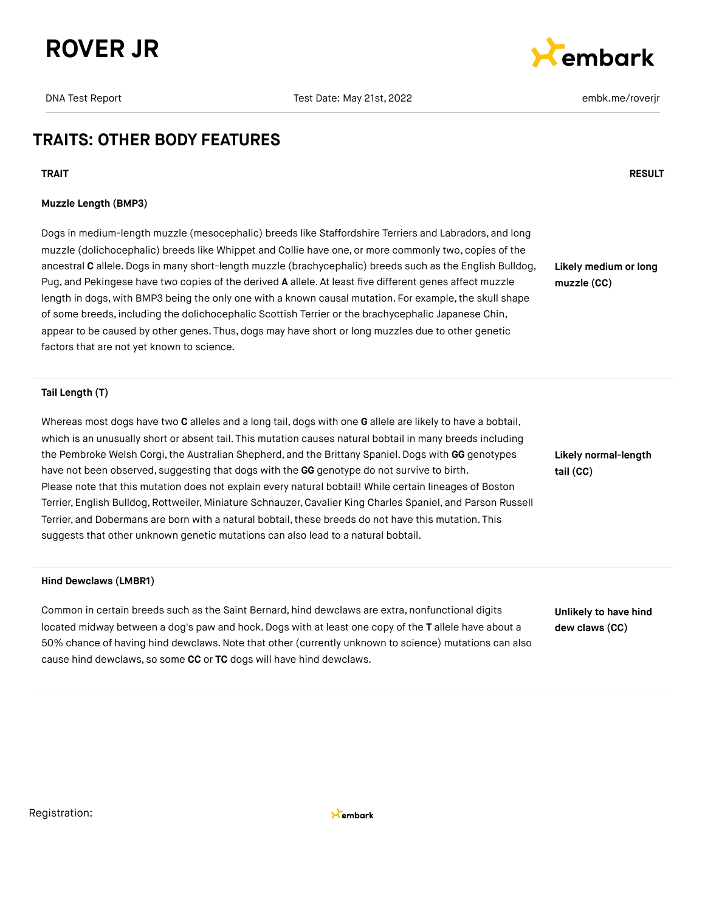



# **TRAITS: OTHER BODY FEATURES**

**TRAIT RESULT**

#### **Muzzle Length (BMP3)**

Dogs in medium-length muzzle (mesocephalic) breeds like Staffordshire Terriers and Labradors, and long muzzle (dolichocephalic) breeds like Whippet and Collie have one, or more commonly two, copies of the ancestral **C** allele.Dogs in many short-length muzzle (brachycephalic) breeds such as the English Bulldog, Pug, and Pekingese have two copies of the derived **A** allele. At least five different genes affect muzzle length in dogs, with BMP3 being the only one with a known causal mutation. For example, the skull shape of some breeds, including the dolichocephalic Scottish Terrier or the brachycephalic Japanese Chin, appear to be caused by other genes. Thus, dogs may have short or long muzzles due to other genetic factors that are not yet known to science.

**Likely medium or long muzzle (CC)**

#### **Tail Length (T)**

Whereas most dogs have two **C** alleles and a long tail, dogs with one **G** allele are likely to have a bobtail, which is an unusually short or absent tail. This mutation causes natural bobtail in many breeds including the Pembroke Welsh Corgi, the Australian Shepherd, and the Brittany Spaniel. Dogs with GG genotypes have not been observed, suggesting that dogs with the **GG** genotype do not survive to birth. Please note that this mutation does not explain every natural bobtail! While certain lineages of Boston Terrier, English Bulldog,Rottweiler, Miniature Schnauzer, Cavalier King Charles Spaniel, and Parson Russell Terrier, and Dobermans are born with a natural bobtail, these breeds do not have this mutation. This suggests that other unknown genetic mutations can also lead to a natural bobtail.

# **Hind Dewclaws (LMBR1)**

Common in certain breeds such as the Saint Bernard, hind dewclaws are extra, nonfunctional digits located midway between a dog's paw and hock. Dogs with at least one copy of the **T** allele have about a 50% chance of having hind dewclaws.Note that other (currently unknown to science) mutations can also cause hind dewclaws, so some **CC** or **TC** dogs will have hind dewclaws.

**Likely normal-length tail (CC)**

**Unlikely to have hind dew claws (CC)**

Registration:

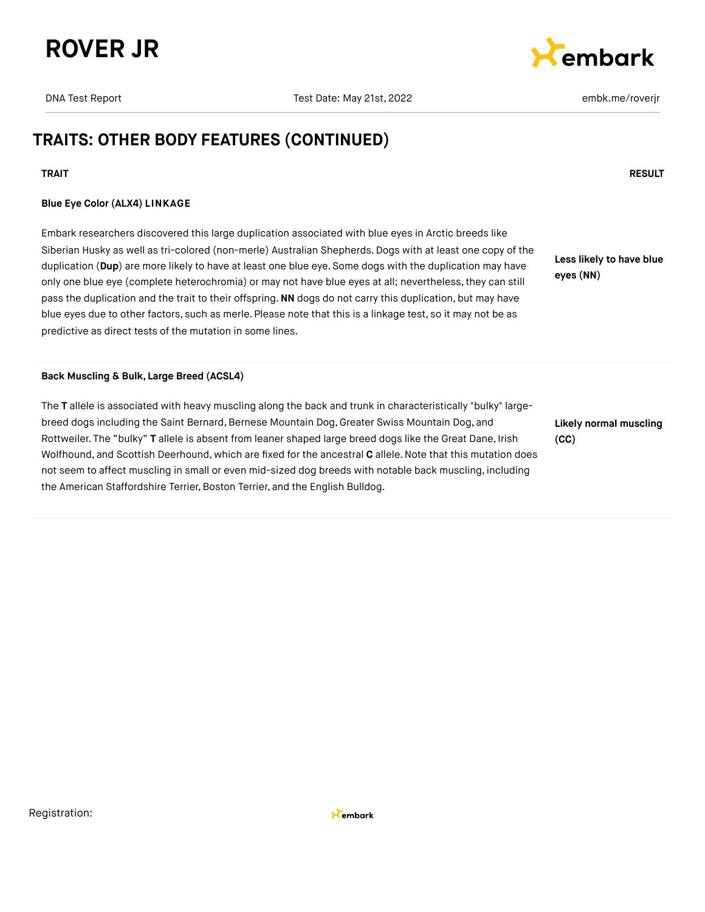



# **TRAITS: OTHER BODY FEATURES (CONTINUED)**

#### **TRAIT RESULT**

#### **Blue Eye Color (ALX4) LINKAGE**

Embark researchers discovered this large duplication associated with blue eyes in Arctic breeds like Siberian Husky as well as tri-colored (non-merle) Australian Shepherds. Dogs with at least one copy of the duplication (**Dup**) are more likely to have at least one blue eye. Some dogs with the duplication may have only one blue eye (complete heterochromia) or may not have blue eyes at all; nevertheless,they can still pass the duplication and the trait to their offspring.**NN** dogs do not carry this duplication, but may have blue eyes due to other factors, such as merle. Please note that this is a linkage test, so it may not be as predictive as direct tests of the mutation in some lines.

**Less likely to have blue eyes (NN)**

#### **Back Muscling & Bulk, Large Breed (ACSL4)**

The **T** allele is associated with heavy muscling along the back and trunk in characteristically "bulky" largebreed dogs including the Saint Bernard, Bernese Mountain Dog, Greater Swiss Mountain Dog, and Rottweiler. The "bulky" **T** allele is absent from leaner shaped large breed dogs like the Great Dane, Irish Wolfhound, and Scottish Deerhound, which are fixed for the ancestral **C** allele.Note that this mutation does not seem to affect muscling in small or even mid-sized dog breeds with notable back muscling, including the American Staffordshire Terrier, Boston Terrier, and the English Bulldog.

**Likely normal muscling (CC)**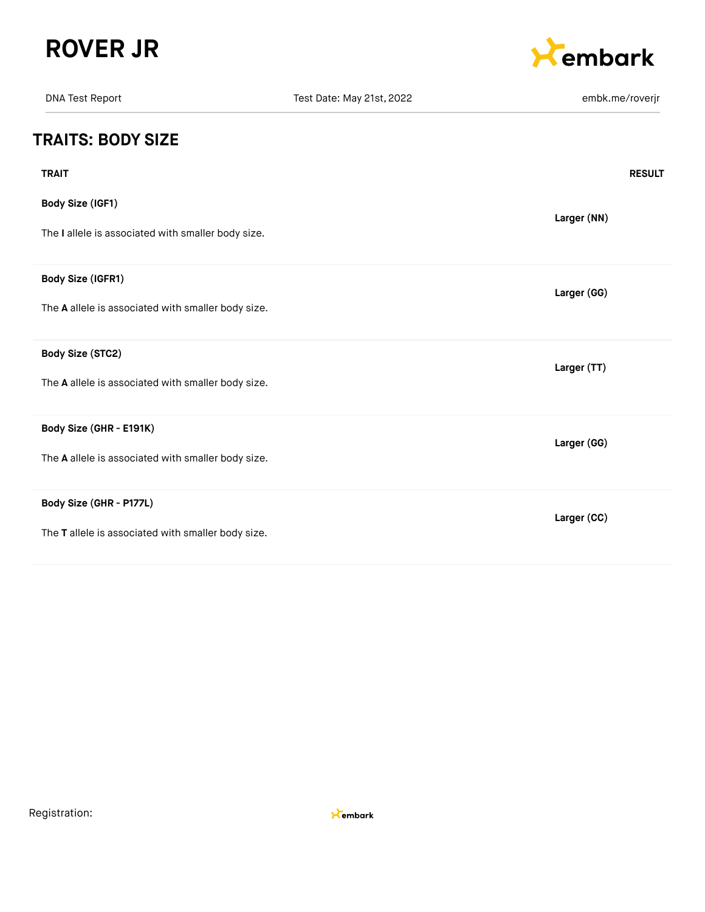



| <b>DNA Test Report</b>                             | Test Date: May 21st, 2022 | embk.me/roverjr |
|----------------------------------------------------|---------------------------|-----------------|
| <b>TRAITS: BODY SIZE</b>                           |                           |                 |
| <b>TRAIT</b>                                       |                           | <b>RESULT</b>   |
| Body Size (IGF1)                                   |                           | Larger (NN)     |
| The I allele is associated with smaller body size. |                           |                 |
| Body Size (IGFR1)                                  |                           | Larger (GG)     |
| The A allele is associated with smaller body size. |                           |                 |
| Body Size (STC2)                                   |                           | Larger (TT)     |
| The A allele is associated with smaller body size. |                           |                 |
| Body Size (GHR - E191K)                            |                           | Larger (GG)     |
| The A allele is associated with smaller body size. |                           |                 |
| Body Size (GHR - P177L)                            |                           | Larger (CC)     |
| The T allele is associated with smaller body size. |                           |                 |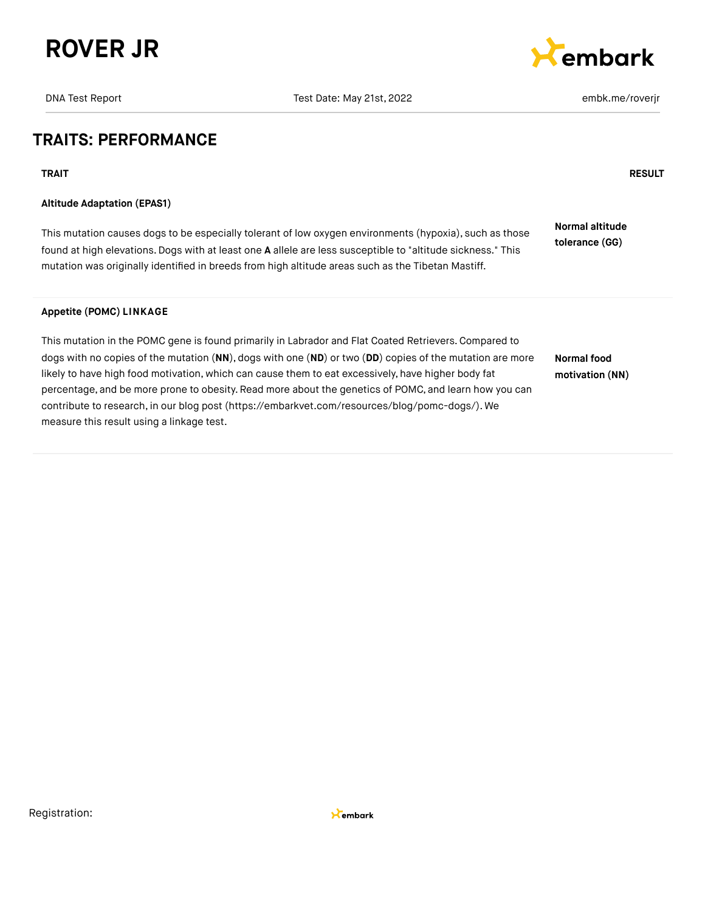





## **TRAITS: PERFORMANCE**

#### **Altitude Adaptation (EPAS1)**

This mutation causes dogs to be especially tolerant of low oxygen environments (hypoxia), such as those found at high elevations.Dogs with at least one **A** allele are less susceptible to "altitude sickness." This mutation was originally identified in breeds from high altitude areas such as the Tibetan Mastiff. **Normal altitude tolerance (GG)**

#### **Appetite (POMC) LINKAGE**

This mutation in the POMC gene is found primarily in Labrador and Flat Coated Retrievers.Compared to dogs with no copies of the mutation (**NN**), dogs with one (**ND**) or two (**DD**) copies of the mutation are more likely to have high food motivation, which can cause them to eat excessively, have higher body fat percentage, and be more prone to obesity. Read more about the genetics of POMC, and learn how you can contribute to research, in our blog post [\(https://embarkvet.com/resources/blog/pomc-dogs/\).](https://embarkvet.com/resources/blog/pomc-dogs/) We measure this result using a linkage test. **Normal food motivation (NN)**

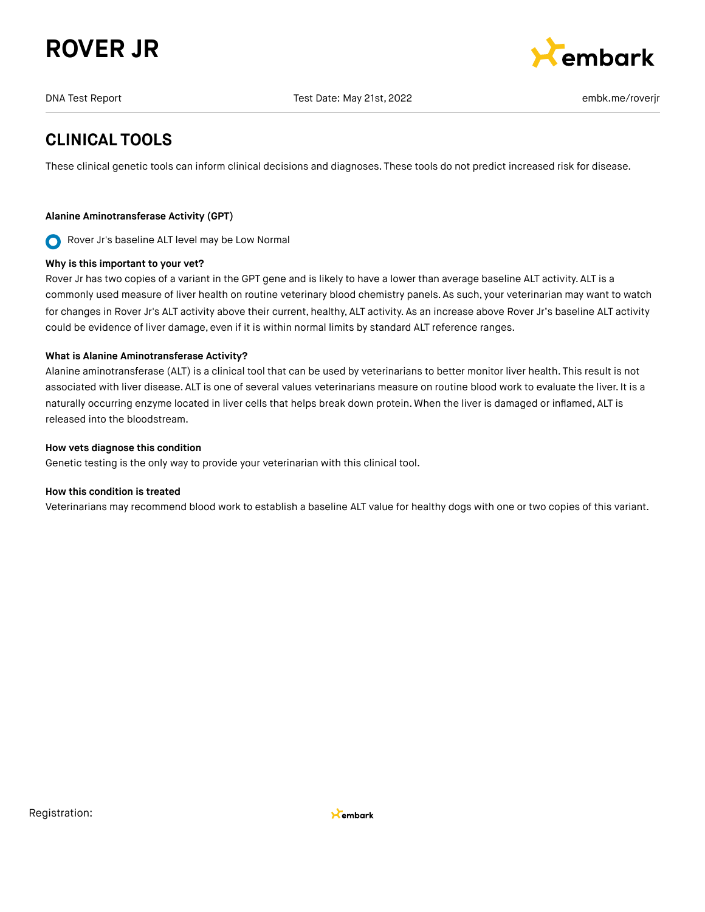# **ROVER JR**



DNA Test Report Test Date: May 21st, 2022 embk.me/roverjr

# **CLINICAL TOOLS**

These clinical genetic tools can inform clinical decisions and diagnoses. These tools do not predict increased risk for disease.

#### **Alanine Aminotransferase Activity (GPT)**

Rover Jr's baseline ALT level may be Low Normal  $\mathbf O$ 

#### **Why is this important to your vet?**

Rover Jr has two copies of a variant in the GPT gene and is likely to have a lower than average baseline ALT activity. ALT is a commonly used measure of liver health on routine veterinary blood chemistry panels. As such, your veterinarian may want to watch for changes in Rover Jr's ALT activity above their current, healthy, ALT activity. As an increase above Rover Jr's baseline ALT activity could be evidence of liver damage, even if it is within normal limits by standard ALT reference ranges.

#### **What is Alanine Aminotransferase Activity?**

Alanine aminotransferase (ALT) is a clinical tool that can be used by veterinarians to better monitor liver health. This result is not associated with liver disease. ALT is one of several values veterinarians measure on routine blood work to evaluate the liver. It is a naturally occurring enzyme located in liver cells that helps break down protein. When the liver is damaged or inflamed, ALT is released into the bloodstream.

#### **How vets diagnose this condition**

Genetic testing is the only way to provide your veterinarian with this clinical tool.

#### **How this condition is treated**

Veterinarians may recommend blood work to establish a baseline ALT value for healthy dogs with one or two copies of this variant.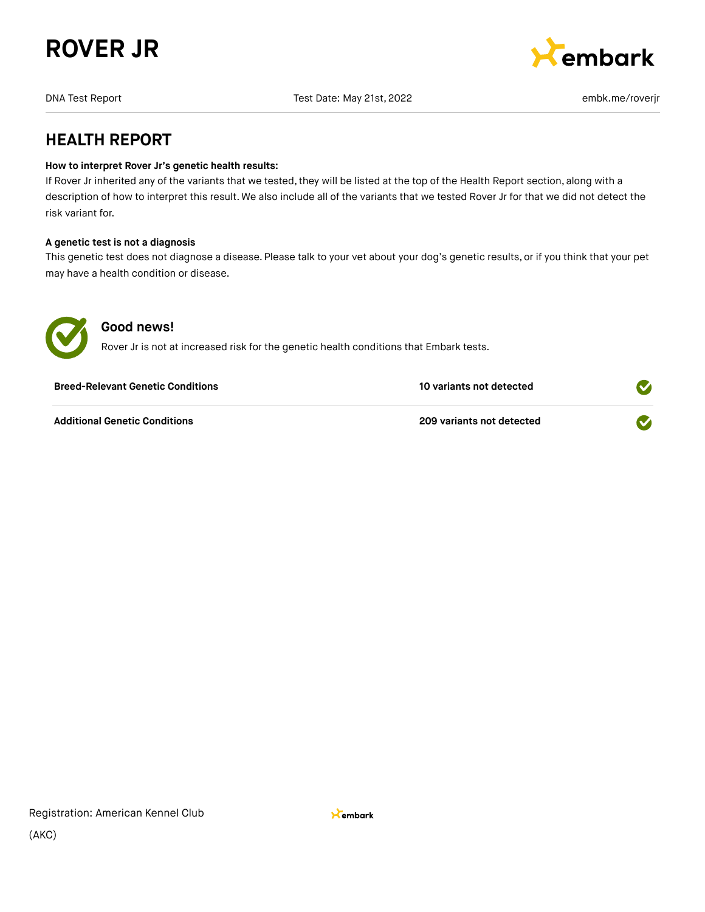



# **HEALTH REPORT**

#### **How to interpret Rover Jr's genetic health results:**

If Rover Jr inherited any of the variants that we tested, they will be listed at the top of the Health Report section, along with a description of how to interpret this result. We also include all of the variants that we tested Rover Jr for that we did not detect the risk variant for.

#### **A genetic test is not a diagnosis**

This genetic test does not diagnose a disease. Please talk to your vet about your dog's genetic results, or if you think that your pet may have a health condition or disease.



#### **Good news!**

Rover Jr is not at increased risk for the genetic health conditions that Embark tests.

| <b>Breed-Relevant Genetic Conditions</b> | 10 variants not detected  |  |
|------------------------------------------|---------------------------|--|
| <b>Additional Genetic Conditions</b>     | 209 variants not detected |  |

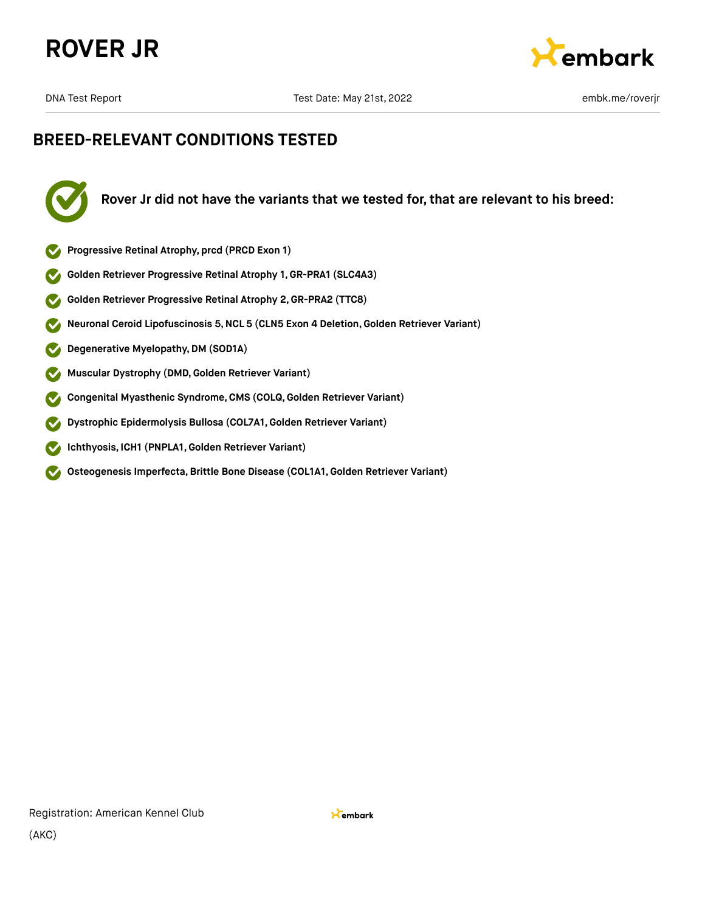



# **BREED-RELEVANT CONDITIONS TESTED**



**Rover Jr did not have the variants that we tested for, that are relevant to his breed:**

- **Progressive Retinal Atrophy, prcd (PRCD Exon 1)**
- **Golden Retriever Progressive Retinal Atrophy 1, GR-PRA1 (SLC4A3)**
- **Golden Retriever Progressive Retinal Atrophy 2,GR-PRA2 (TTC8)**  $\blacktriangledown$
- **Neuronal Ceroid Lipofuscinosis 5,NCL 5 (CLN5 Exon 4 Deletion,Golden Retriever Variant)**  $\blacktriangledown$
- **Degenerative Myelopathy,DM (SOD1A)**  $\blacktriangledown$
- **Muscular Dystrophy (DMD,Golden Retriever Variant)**  $\blacktriangledown$
- **Congenital Myasthenic Syndrome,CMS (COLQ, Golden Retriever Variant)**  $\checkmark$
- **Dystrophic Epidermolysis Bullosa (COL7A1,Golden Retriever Variant)**  $\boldsymbol{\mathcal{S}}$
- $\boldsymbol{\infty}$ **Ichthyosis, ICH1 (PNPLA1,Golden Retriever Variant)**
- **Osteogenesis Imperfecta,Brittle Bone Disease (COL1A1,Golden Retriever Variant)**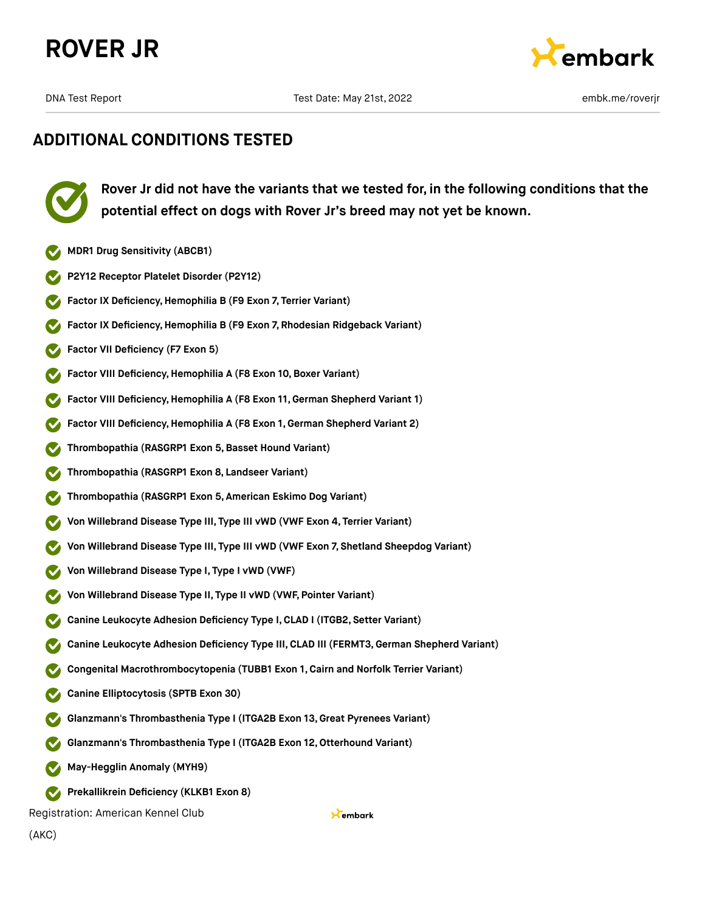



# **ADDITIONAL CONDITIONS TESTED**

**Rover Jr did not have the variants that we tested for, in the following conditions that the potential effect on dogs with Rover Jr's breed may not yet be known.**

- **MDR1 Drug Sensitivity (ABCB1)**
- **P2Y12 Receptor Platelet Disorder (P2Y12)**
- **Factor IX Deficiency, Hemophilia B (F9 Exon 7, Terrier Variant)**
- **Factor IX Deficiency,Hemophilia B (F9 Exon 7, Rhodesian Ridgeback Variant)**
- **Factor VII Deficiency (F7 Exon 5)**
- **Factor VIII Deficiency, Hemophilia A (F8 Exon 10, Boxer Variant)**
- **Factor VIII Deficiency,Hemophilia A (F8 Exon 11,German Shepherd Variant 1)**
- **Factor VIII Deficiency,Hemophilia A (F8 Exon 1, German Shepherd Variant 2)**
- **Thrombopathia (RASGRP1 Exon 5,Basset Hound Variant)**
- **Thrombopathia (RASGRP1 Exon 8, Landseer Variant)**
- **Thrombopathia (RASGRP1 Exon 5, American Eskimo Dog Variant)**
- **Von Willebrand Disease Type III, Type III vWD (VWF Exon 4, Terrier Variant)**
- **Von Willebrand Disease Type III, Type III vWD (VWF Exon 7, Shetland Sheepdog Variant)**
- **Von Willebrand Disease Type I, Type I vWD (VWF)**
- **Von Willebrand Disease Type II, Type II vWD (VWF, Pointer Variant)**
- **Canine Leukocyte Adhesion Deficiency Type I,CLAD I (ITGB2, Setter Variant)**
- **Canine Leukocyte Adhesion Deficiency Type III, CLAD III (FERMT3,German Shepherd Variant)**
- **Congenital Macrothrombocytopenia (TUBB1 Exon 1, Cairn and Norfolk Terrier Variant)**
- **Canine Elliptocytosis (SPTB Exon 30)**
- **Glanzmann's Thrombasthenia Type I (ITGA2B Exon 13,Great Pyrenees Variant)**
- **Glanzmann's Thrombasthenia Type I (ITGA2B Exon 12,Otterhound Variant)**
- **May-Hegglin Anomaly (MYH9)**
- **Prekallikrein Deficiency (KLKB1 Exon 8)**

Registration: American Kennel Club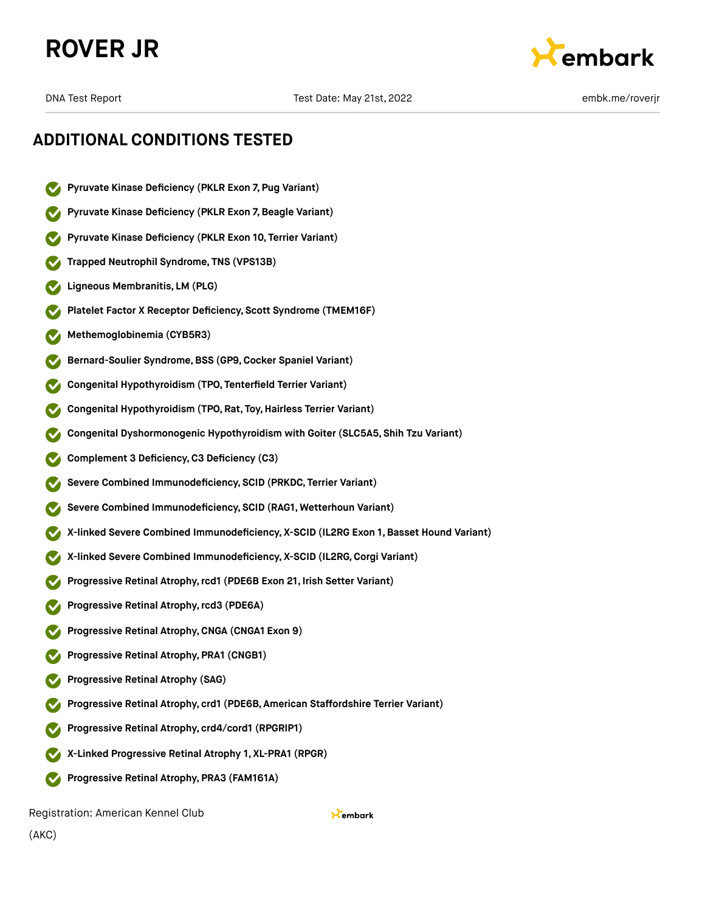# **ROVER JR**



DNA Test Report Test Date: May 21st, 2022 embk.me/roverjr

# **ADDITIONAL CONDITIONS TESTED**

- **Pyruvate Kinase Deficiency (PKLR Exon 7, Pug Variant)**
- **Pyruvate Kinase Deficiency (PKLR Exon 7,Beagle Variant)**
- **Pyruvate Kinase Deficiency (PKLR Exon 10, Terrier Variant)**
- **Trapped Neutrophil Syndrome, TNS (VPS13B)**
- **Ligneous Membranitis, LM (PLG)**
- **Platelet Factor X Receptor Deficiency, Scott Syndrome (TMEM16F)**
- **Methemoglobinemia (CYB5R3)**
- **Bernard-Soulier Syndrome,BSS (GP9,Cocker Spaniel Variant)**
- **Congenital Hypothyroidism (TPO, Tenterfield Terrier Variant)**
- **Congenital Hypothyroidism (TPO, Rat, Toy,Hairless Terrier Variant)**
- **Congenital Dyshormonogenic Hypothyroidism with Goiter (SLC5A5, Shih Tzu Variant)**
- **Complement 3 Deficiency,C3 Deficiency (C3)**
- **Severe Combined Immunodeficiency, SCID (PRKDC, Terrier Variant)**
- **Severe Combined Immunodeficiency, SCID (RAG1, Wetterhoun Variant)**
- **X-linked Severe Combined Immunodeficiency, X-SCID (IL2RG Exon 1, Basset Hound Variant)**
- **X-linked Severe Combined Immunodeficiency, X-SCID (IL2RG,Corgi Variant)**
- **Progressive Retinal Atrophy,rcd1 (PDE6B Exon 21, Irish Setter Variant)**
- **Progressive Retinal Atrophy,rcd3 (PDE6A)**
- **Progressive Retinal Atrophy,CNGA (CNGA1 Exon 9)**
- **Progressive Retinal Atrophy, PRA1 (CNGB1)**
- **Progressive Retinal Atrophy (SAG)**
- **Progressive Retinal Atrophy, crd1 (PDE6B, American Staffordshire Terrier Variant)**
- **Progressive Retinal Atrophy, crd4/cord1 (RPGRIP1)**
- **X-Linked Progressive Retinal Atrophy 1, XL-PRA1 (RPGR)**
- **Progressive Retinal Atrophy, PRA3 (FAM161A)**

Registration: American Kennel Club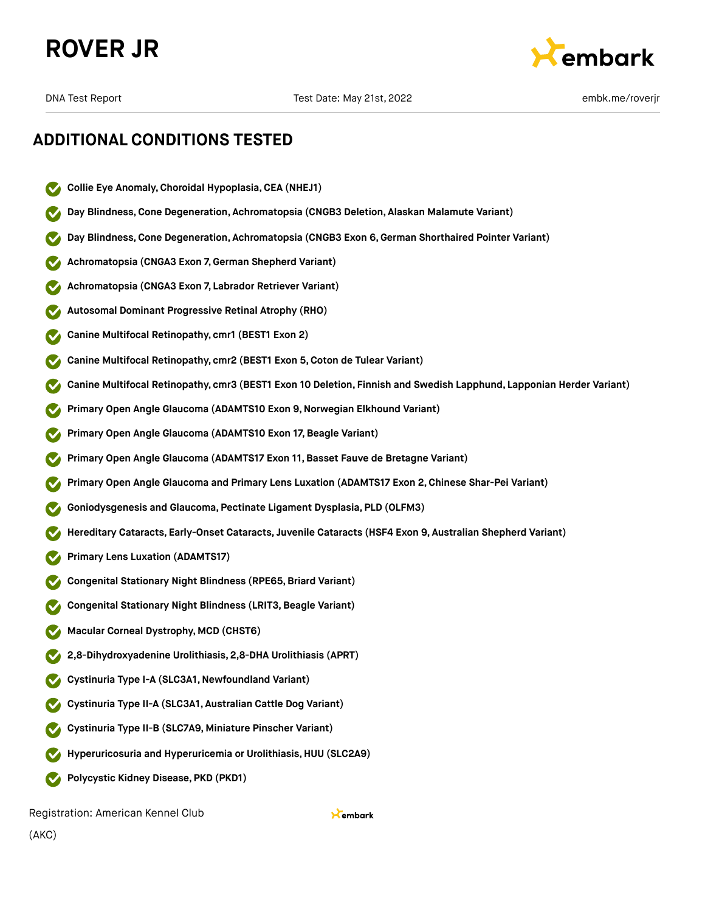



# **ADDITIONAL CONDITIONS TESTED**

- **Collie Eye Anomaly,Choroidal Hypoplasia,CEA (NHEJ1)**
- **Day Blindness,Cone Degeneration, Achromatopsia (CNGB3 Deletion, Alaskan Malamute Variant)**
- **Day Blindness,Cone Degeneration, Achromatopsia (CNGB3 Exon 6,German Shorthaired Pointer Variant)**
- **Achromatopsia (CNGA3 Exon 7,German Shepherd Variant)**
- **Achromatopsia (CNGA3 Exon 7, Labrador Retriever Variant)**
- **Autosomal Dominant Progressive Retinal Atrophy (RHO)**
- **Canine Multifocal Retinopathy, cmr1 (BEST1 Exon 2)**
- **Canine Multifocal Retinopathy, cmr2 (BEST1 Exon 5,Coton de Tulear Variant)**
- **Canine Multifocal Retinopathy, cmr3 (BEST1 Exon 10 Deletion, Finnish and Swedish Lapphund, Lapponian Herder Variant)**
- **Primary Open Angle Glaucoma (ADAMTS10 Exon 9,Norwegian Elkhound Variant)**
- **Primary Open Angle Glaucoma (ADAMTS10 Exon 17, Beagle Variant)**
- **Primary Open Angle Glaucoma (ADAMTS17 Exon 11,Basset Fauve de Bretagne Variant)**
- **Primary Open Angle Glaucoma and Primary Lens Luxation (ADAMTS17 Exon 2,Chinese Shar-Pei Variant)**
- **Goniodysgenesis and Glaucoma, Pectinate Ligament Dysplasia, PLD (OLFM3)**
- **Hereditary Cataracts, Early-Onset Cataracts, Juvenile Cataracts (HSF4 Exon 9, Australian Shepherd Variant)**
- **Primary Lens Luxation (ADAMTS17)**
- **Congenital Stationary Night Blindness (RPE65,Briard Variant)**
- **Congenital Stationary Night Blindness (LRIT3,Beagle Variant)**
- **Macular Corneal Dystrophy, MCD (CHST6)**
- **2,8-Dihydroxyadenine Urolithiasis, 2,8-DHA Urolithiasis (APRT)**
- **Cystinuria Type I-A (SLC3A1,Newfoundland Variant)**
- **Cystinuria Type II-A (SLC3A1, Australian Cattle Dog Variant)**
- **Cystinuria Type II-B (SLC7A9, Miniature Pinscher Variant)**
- **Hyperuricosuria and Hyperuricemia or Urolithiasis, HUU (SLC2A9)**
- **Polycystic Kidney Disease, PKD (PKD1)**

Registration: American Kennel Club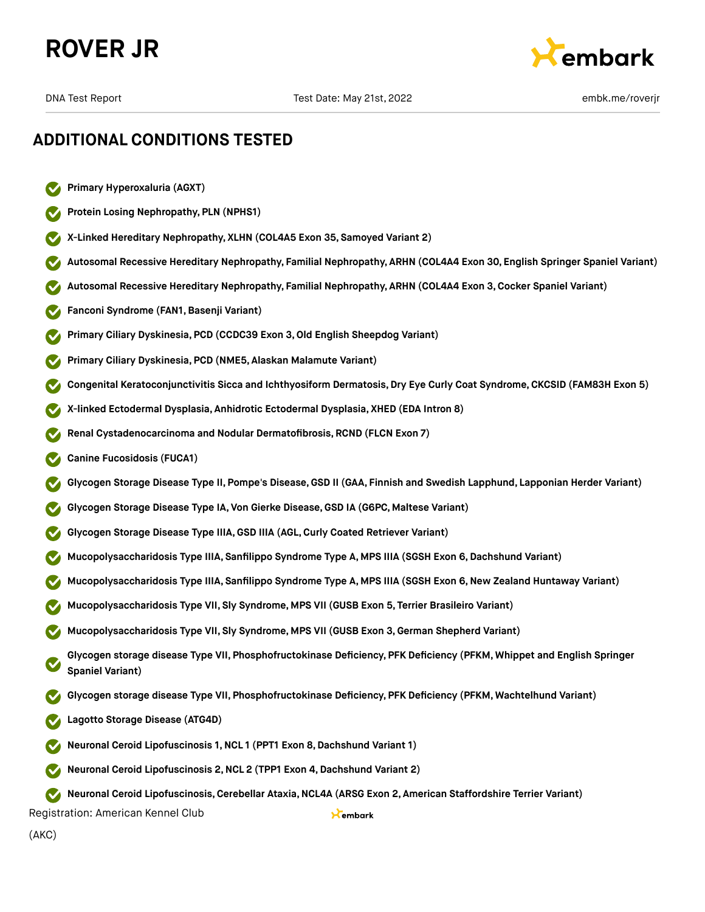



# **ADDITIONAL CONDITIONS TESTED**

- **Primary Hyperoxaluria (AGXT)**
- **Protein Losing Nephropathy, PLN (NPHS1)**
- **X-Linked Hereditary Nephropathy, XLHN (COL4A5 Exon 35, Samoyed Variant 2)**
- **Autosomal Recessive Hereditary Nephropathy, Familial Nephropathy, ARHN (COL4A4 Exon 30, English Springer Spaniel Variant)**
- **Autosomal Recessive Hereditary Nephropathy, Familial Nephropathy, ARHN (COL4A4 Exon 3,Cocker Spaniel Variant)**
- **Fanconi Syndrome (FAN1,Basenji Variant)**
- **Primary Ciliary Dyskinesia, PCD (CCDC39 Exon 3,Old English Sheepdog Variant)**
- **Primary Ciliary Dyskinesia, PCD (NME5, Alaskan Malamute Variant)**
- **Congenital Keratoconjunctivitis Sicca and Ichthyosiform Dermatosis, Dry Eye Curly Coat Syndrome, CKCSID (FAM83H Exon 5)**
- **X-linked Ectodermal Dysplasia, Anhidrotic Ectodermal Dysplasia, XHED (EDA Intron 8)**
- **Renal Cystadenocarcinoma and Nodular Dermatofibrosis, RCND (FLCN Exon 7)**
- **Canine Fucosidosis (FUCA1)**
- **Glycogen Storage Disease Type II, Pompe's Disease,GSD II (GAA, Finnish and Swedish Lapphund, Lapponian Herder Variant)**
- **Glycogen Storage Disease Type IA, Von Gierke Disease,GSD IA (G6PC, Maltese Variant)**
- **Glycogen Storage Disease Type IIIA,GSD IIIA (AGL,Curly Coated Retriever Variant)**
- **Mucopolysaccharidosis Type IIIA, Sanfilippo Syndrome Type A, MPS IIIA (SGSH Exon 6,Dachshund Variant)**
- **Mucopolysaccharidosis Type IIIA, Sanfilippo Syndrome Type A, MPS IIIA (SGSH Exon 6,New Zealand Huntaway Variant)**
- **Mucopolysaccharidosis Type VII, Sly Syndrome, MPS VII (GUSB Exon 5, Terrier Brasileiro Variant)**
- **Mucopolysaccharidosis Type VII, Sly Syndrome, MPS VII (GUSB Exon 3,German Shepherd Variant)**
- **Glycogen storage disease Type VII, Phosphofructokinase Deficiency, PFK Deficiency (PFKM, Whippet and English Springer Spaniel Variant)**
- **Glycogen storage disease Type VII, Phosphofructokinase Deficiency, PFK Deficiency (PFKM, Wachtelhund Variant)**
- **Lagotto Storage Disease (ATG4D)**
- **Neuronal Ceroid Lipofuscinosis 1,NCL 1 (PPT1 Exon 8,Dachshund Variant 1)**
- **Neuronal Ceroid Lipofuscinosis 2,NCL 2 (TPP1 Exon 4,Dachshund Variant 2)**

**Neuronal Ceroid Lipofuscinosis,Cerebellar Ataxia,NCL4A (ARSG Exon 2, American Staffordshire Terrier Variant)**

Kembark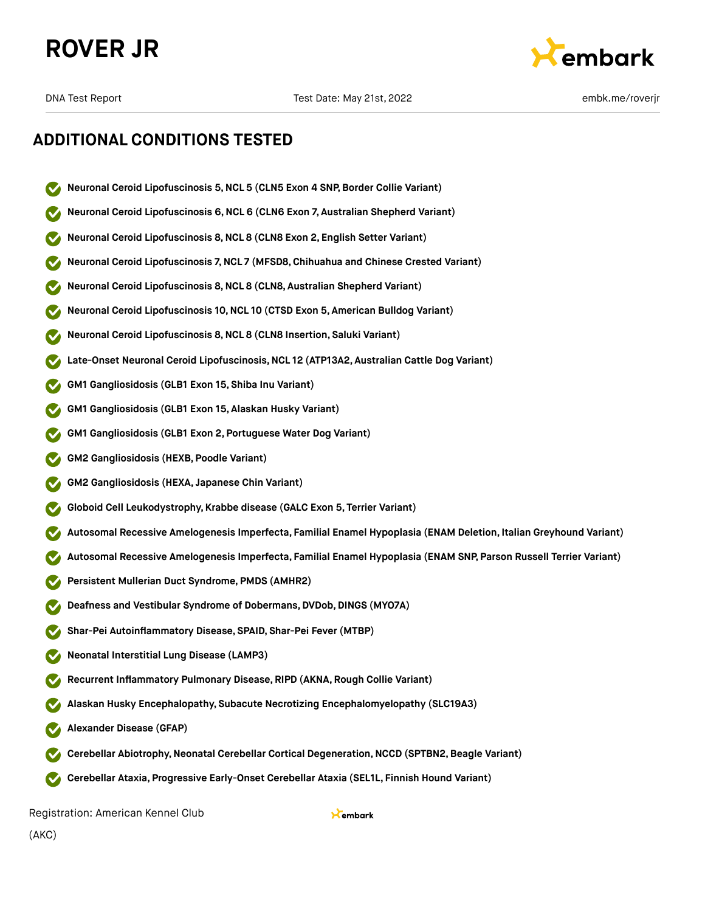



## **ADDITIONAL CONDITIONS TESTED**

- **Neuronal Ceroid Lipofuscinosis 5,NCL 5 (CLN5 Exon 4 SNP, Border Collie Variant)**
- **Neuronal Ceroid Lipofuscinosis 6,NCL 6 (CLN6 Exon 7, Australian Shepherd Variant)**
- **Neuronal Ceroid Lipofuscinosis 8,NCL 8 (CLN8 Exon 2, English Setter Variant)**
- **Neuronal Ceroid Lipofuscinosis 7,NCL 7 (MFSD8,Chihuahua and Chinese Crested Variant)**
- **Neuronal Ceroid Lipofuscinosis 8,NCL 8 (CLN8, Australian Shepherd Variant)**
- **Neuronal Ceroid Lipofuscinosis 10,NCL 10 (CTSD Exon 5, American Bulldog Variant)**
- **Neuronal Ceroid Lipofuscinosis 8,NCL 8 (CLN8 Insertion, Saluki Variant)**
- **Late-Onset Neuronal Ceroid Lipofuscinosis,NCL 12 (ATP13A2, Australian Cattle Dog Variant)**
- **GM1 Gangliosidosis (GLB1 Exon 15, Shiba Inu Variant)**
- **GM1 Gangliosidosis (GLB1 Exon 15, Alaskan Husky Variant)**
- **GM1 Gangliosidosis (GLB1 Exon 2, Portuguese Water Dog Variant)**
- **GM2 Gangliosidosis (HEXB, Poodle Variant)**
- **GM2 Gangliosidosis (HEXA, Japanese Chin Variant)**
- **Globoid Cell Leukodystrophy, Krabbe disease (GALC Exon 5, Terrier Variant)**
- **Autosomal Recessive Amelogenesis Imperfecta, Familial Enamel Hypoplasia (ENAM Deletion, Italian Greyhound Variant)**
- **Autosomal Recessive Amelogenesis Imperfecta, Familial Enamel Hypoplasia (ENAM SNP, Parson Russell Terrier Variant)**
- **Persistent Mullerian Duct Syndrome, PMDS (AMHR2)**
- **Deafness and Vestibular Syndrome of Dobermans, DVDob, DINGS (MYO7A)**
- **Shar-Pei Autoinflammatory Disease, SPAID, Shar-Pei Fever (MTBP)**
- **Neonatal Interstitial Lung Disease (LAMP3)**
- **Recurrent Inflammatory Pulmonary Disease, RIPD (AKNA, Rough Collie Variant)**
- **Alaskan Husky Encephalopathy, Subacute Necrotizing Encephalomyelopathy (SLC19A3)**
- **Alexander Disease (GFAP)**
- **Cerebellar Abiotrophy,Neonatal Cerebellar Cortical Degeneration,NCCD (SPTBN2,Beagle Variant)**
- **Cerebellar Ataxia, Progressive Early-Onset Cerebellar Ataxia (SEL1L, Finnish Hound Variant)**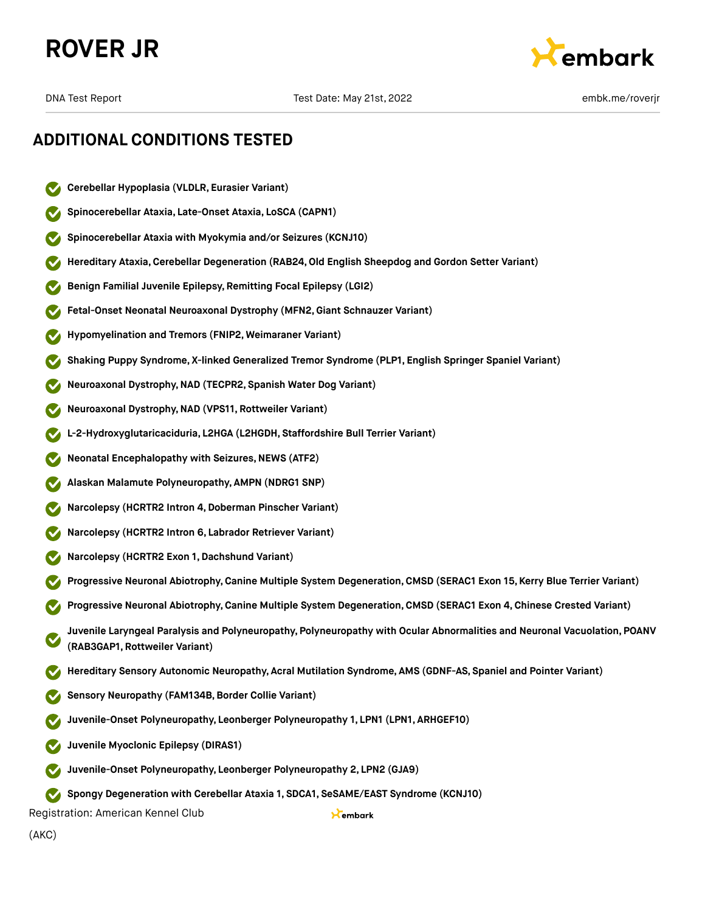



# **ADDITIONAL CONDITIONS TESTED**

- **Cerebellar Hypoplasia (VLDLR, Eurasier Variant)**
- **Spinocerebellar Ataxia, Late-Onset Ataxia, LoSCA (CAPN1)**
- **Spinocerebellar Ataxia with Myokymia and/or Seizures (KCNJ10)**
- **Hereditary Ataxia,Cerebellar Degeneration (RAB24,Old English Sheepdog and Gordon Setter Variant)**
- **Benign Familial Juvenile Epilepsy, Remitting Focal Epilepsy (LGI2)**
- **Fetal-Onset Neonatal Neuroaxonal Dystrophy (MFN2,Giant Schnauzer Variant)**
- **Hypomyelination and Tremors (FNIP2, Weimaraner Variant)**
- **Shaking Puppy Syndrome, X-linked Generalized Tremor Syndrome (PLP1, English Springer Spaniel Variant)**
- **Neuroaxonal Dystrophy,NAD (TECPR2, Spanish Water Dog Variant)**
- **Neuroaxonal Dystrophy,NAD (VPS11, Rottweiler Variant)**
- **L-2-Hydroxyglutaricaciduria, L2HGA (L2HGDH, Staffordshire Bull Terrier Variant)**
- **Neonatal Encephalopathy with Seizures, NEWS (ATF2)**
- **Alaskan Malamute Polyneuropathy, AMPN (NDRG1 SNP)**
- **Narcolepsy (HCRTR2 Intron 4,Doberman Pinscher Variant)**
- **Narcolepsy (HCRTR2 Intron 6, Labrador Retriever Variant)**
- **Narcolepsy (HCRTR2 Exon 1,Dachshund Variant)**
- **Progressive Neuronal Abiotrophy,Canine Multiple System Degeneration,CMSD (SERAC1 Exon 15, Kerry Blue Terrier Variant)**
- **Progressive Neuronal Abiotrophy,Canine Multiple System Degeneration,CMSD (SERAC1 Exon 4, Chinese Crested Variant)**
- **Juvenile Laryngeal Paralysis and Polyneuropathy, Polyneuropathy with Ocular Abnormalities and Neuronal Vacuolation, POANV (RAB3GAP1, Rottweiler Variant)**

Kembark

- **Hereditary Sensory Autonomic Neuropathy, Acral Mutilation Syndrome, AMS (GDNF-AS, Spaniel and Pointer Variant)**
- **Sensory Neuropathy (FAM134B,Border Collie Variant)**
- **Juvenile-Onset Polyneuropathy, Leonberger Polyneuropathy 1, LPN1 (LPN1, ARHGEF10)**
- **Juvenile Myoclonic Epilepsy (DIRAS1)**
- **Juvenile-Onset Polyneuropathy, Leonberger Polyneuropathy 2, LPN2 (GJA9)**
- **Spongy Degeneration with Cerebellar Ataxia 1, SDCA1, SeSAME/EAST Syndrome (KCNJ10)**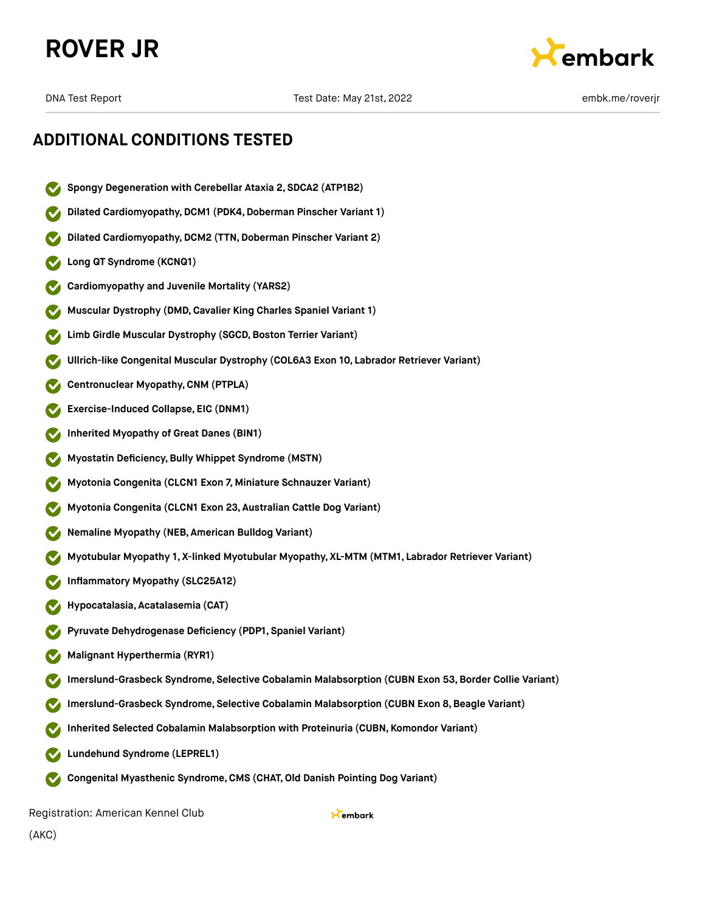



# **ADDITIONAL CONDITIONS TESTED**

- **Spongy Degeneration with Cerebellar Ataxia 2, SDCA2 (ATP1B2)**
- **Dilated Cardiomyopathy,DCM1 (PDK4,Doberman Pinscher Variant 1)**
- **Dilated Cardiomyopathy, DCM2 (TTN, Doberman Pinscher Variant 2)**
- **Long QT Syndrome (KCNQ1)**
- **Cardiomyopathy and Juvenile Mortality (YARS2)**
- **Muscular Dystrophy (DMD,Cavalier King Charles Spaniel Variant 1)**
- **Limb Girdle Muscular Dystrophy (SGCD,Boston Terrier Variant)**
- **Ullrich-like Congenital Muscular Dystrophy (COL6A3 Exon 10, Labrador Retriever Variant)**
- **Centronuclear Myopathy,CNM (PTPLA)**
- **Exercise-Induced Collapse, EIC (DNM1)**
- **Inherited Myopathy of Great Danes (BIN1)**
- **Myostatin Deficiency,Bully Whippet Syndrome (MSTN)**
- **Myotonia Congenita (CLCN1 Exon 7, Miniature Schnauzer Variant)**
- **Myotonia Congenita (CLCN1 Exon 23, Australian Cattle Dog Variant)**
- **Nemaline Myopathy (NEB, American Bulldog Variant)**
- **Myotubular Myopathy 1, X-linked Myotubular Myopathy, XL-MTM (MTM1, Labrador Retriever Variant)**
- **Inflammatory Myopathy (SLC25A12)**
- **Hypocatalasia, Acatalasemia (CAT)**
- **Pyruvate Dehydrogenase Deficiency (PDP1, Spaniel Variant)**
- **Malignant Hyperthermia (RYR1)**
- **Imerslund-Grasbeck Syndrome, Selective Cobalamin Malabsorption (CUBN Exon 53,Border Collie Variant)**
- **Imerslund-Grasbeck Syndrome, Selective Cobalamin Malabsorption (CUBN Exon 8,Beagle Variant)**
- **Inherited Selected Cobalamin Malabsorption with Proteinuria (CUBN, Komondor Variant)**
- **Lundehund Syndrome (LEPREL1)**
- **Congenital Myasthenic Syndrome,CMS (CHAT,Old Danish Pointing Dog Variant)**  $\sim$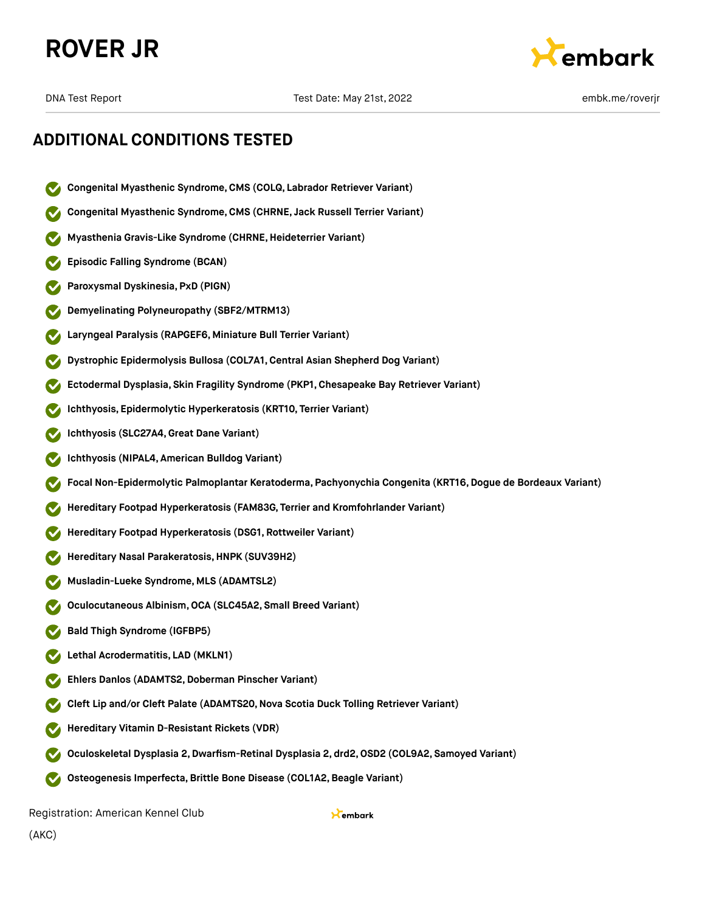



# **ADDITIONAL CONDITIONS TESTED**

- **Congenital Myasthenic Syndrome,CMS (COLQ, Labrador Retriever Variant)**
- **Congenital Myasthenic Syndrome,CMS (CHRNE, Jack Russell Terrier Variant)**
- **Myasthenia Gravis-Like Syndrome (CHRNE,Heideterrier Variant)**
- **Episodic Falling Syndrome (BCAN)**
- **Paroxysmal Dyskinesia, PxD (PIGN)**
- **Demyelinating Polyneuropathy (SBF2/MTRM13)**
- **Laryngeal Paralysis (RAPGEF6, Miniature Bull Terrier Variant)**
- **Dystrophic Epidermolysis Bullosa (COL7A1,Central Asian Shepherd Dog Variant)**
- **Ectodermal Dysplasia, Skin Fragility Syndrome (PKP1, Chesapeake Bay Retriever Variant)**
- **Ichthyosis, Epidermolytic Hyperkeratosis (KRT10, Terrier Variant)**
- **Ichthyosis (SLC27A4,Great Dane Variant)**
- **Ichthyosis (NIPAL4, American Bulldog Variant)**
- **Focal Non-Epidermolytic Palmoplantar Keratoderma, Pachyonychia Congenita (KRT16,Dogue de Bordeaux Variant)**
- **Hereditary Footpad Hyperkeratosis (FAM83G, Terrier and Kromfohrlander Variant)**
- **Hereditary Footpad Hyperkeratosis (DSG1, Rottweiler Variant)**
- **Hereditary Nasal Parakeratosis,HNPK (SUV39H2)**
- **Musladin-Lueke Syndrome, MLS (ADAMTSL2)**
- **Oculocutaneous Albinism,OCA (SLC45A2, Small Breed Variant)**
- **Bald Thigh Syndrome (IGFBP5)**
- **Lethal Acrodermatitis, LAD (MKLN1)**
- **Ehlers Danlos (ADAMTS2,Doberman Pinscher Variant)**
- **Cleft Lip and/or Cleft Palate (ADAMTS20,Nova Scotia Duck Tolling Retriever Variant)**
- **Hereditary Vitamin D-Resistant Rickets (VDR)**
- **Oculoskeletal Dysplasia 2,Dwarfism-Retinal Dysplasia 2, drd2,OSD2 (COL9A2, Samoyed Variant)**
- **Osteogenesis Imperfecta,Brittle Bone Disease (COL1A2,Beagle Variant)**  $\sim$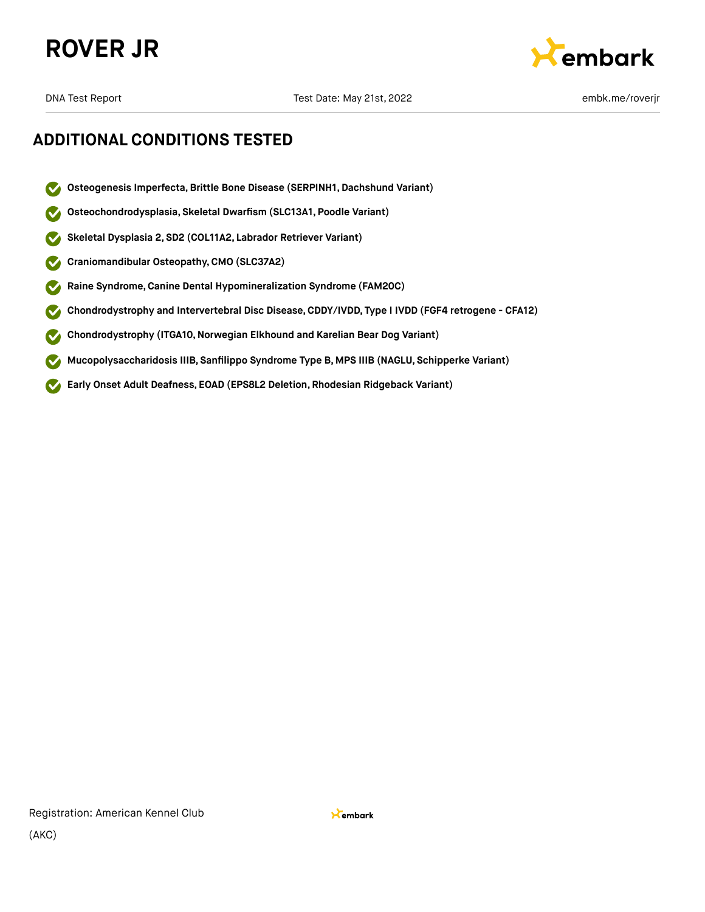



# **ADDITIONAL CONDITIONS TESTED**

- **Osteogenesis Imperfecta,Brittle Bone Disease (SERPINH1, Dachshund Variant)**  $\boldsymbol{\sigma}$
- **Osteochondrodysplasia, Skeletal Dwarfism (SLC13A1, Poodle Variant)**  $\checkmark$
- **Skeletal Dysplasia 2, SD2 (COL11A2, Labrador Retriever Variant)**  $\checkmark$
- **Craniomandibular Osteopathy,CMO (SLC37A2)**  $\blacktriangledown$
- **Raine Syndrome,Canine Dental Hypomineralization Syndrome (FAM20C)**  $\blacktriangledown$
- **Chondrodystrophy and Intervertebral Disc Disease,CDDY/IVDD, Type I IVDD (FGF4 retrogene CFA12)**  $\checkmark$
- **Chondrodystrophy (ITGA10,Norwegian Elkhound and Karelian Bear Dog Variant)**  $\blacktriangledown$
- **Mucopolysaccharidosis IIIB, Sanfilippo Syndrome Type B, MPS IIIB (NAGLU, Schipperke Variant)**  $\blacktriangledown$
- **Early Onset Adult Deafness, EOAD (EPS8L2 Deletion, Rhodesian Ridgeback Variant)**  $\blacktriangledown$